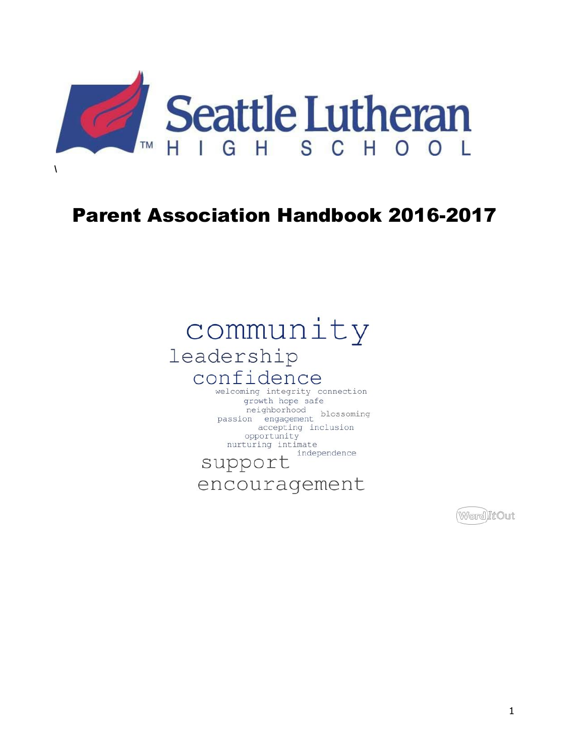

# **Parent Association Handbook 2016-2017**

# community leadership confidence

#### welcoming integrity connection growth hope safe neighborhood<br>passion engagement accepting inclusion opportunity nurturing intimate independence

# support

encouragement

(Word)ItOut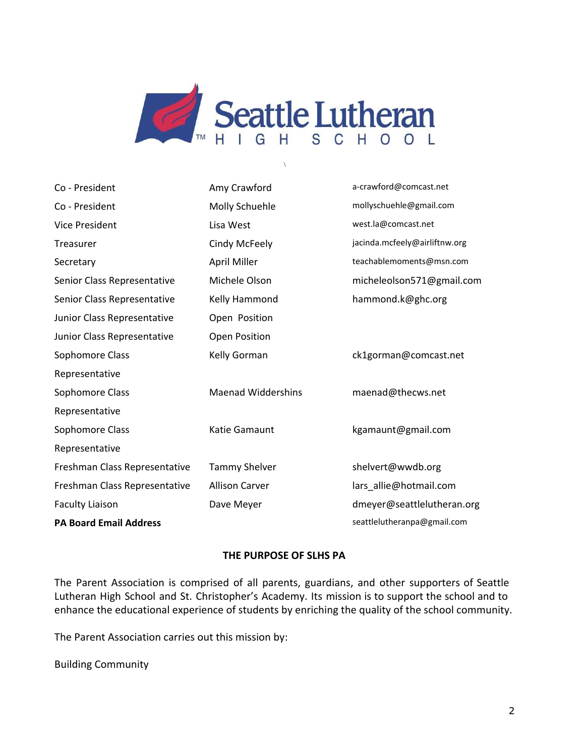

**\**

| Co - President                | Amy Crawford              | a-crawford@comcast.net        |
|-------------------------------|---------------------------|-------------------------------|
| Co - President                | Molly Schuehle            | mollyschuehle@gmail.com       |
| <b>Vice President</b>         | Lisa West                 | west.la@comcast.net           |
| Treasurer                     | Cindy McFeely             | jacinda.mcfeely@airliftnw.org |
| Secretary                     | April Miller              | teachablemoments@msn.com      |
| Senior Class Representative   | Michele Olson             | micheleolson571@gmail.com     |
| Senior Class Representative   | Kelly Hammond             | hammond.k@ghc.org             |
| Junior Class Representative   | Open Position             |                               |
| Junior Class Representative   | Open Position             |                               |
| Sophomore Class               | Kelly Gorman              | ck1gorman@comcast.net         |
| Representative                |                           |                               |
| Sophomore Class               | <b>Maenad Widdershins</b> | maenad@thecws.net             |
| Representative                |                           |                               |
| Sophomore Class               | Katie Gamaunt             | kgamaunt@gmail.com            |
| Representative                |                           |                               |
| Freshman Class Representative | <b>Tammy Shelver</b>      | shelvert@wwdb.org             |
| Freshman Class Representative | <b>Allison Carver</b>     | lars_allie@hotmail.com        |
| <b>Faculty Liaison</b>        | Dave Meyer                | dmeyer@seattlelutheran.org    |
| <b>PA Board Email Address</b> |                           | seattlelutheranpa@gmail.com   |

#### **THE PURPOSE OF SLHS PA**

The Parent Association is comprised of all parents, guardians, and other supporters of Seattle Lutheran High School and St. Christopher's Academy. Its mission is to support the school and to enhance the educational experience of students by enriching the quality of the school community.

The Parent Association carries out this mission by:

Building Community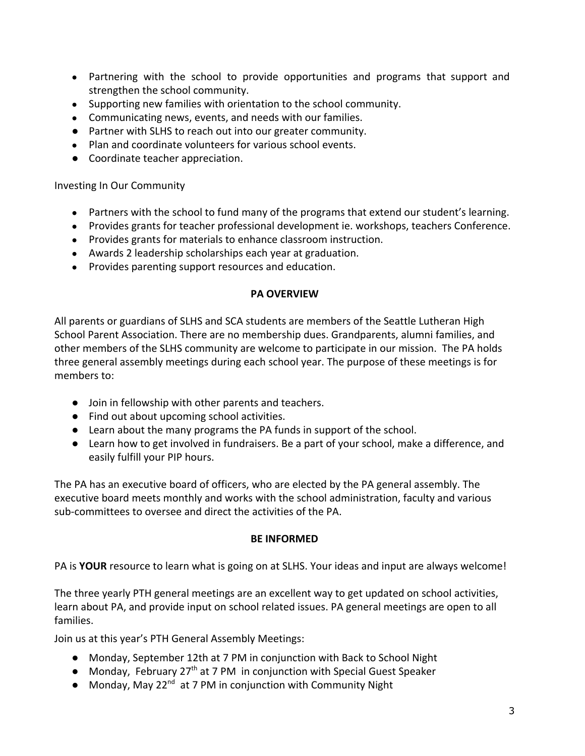- Partnering with the school to provide opportunities and programs that support and strengthen the school community.
- Supporting new families with orientation to the school community.
- Communicating news, events, and needs with our families.
- Partner with SLHS to reach out into our greater community.
- Plan and coordinate volunteers for various school events.
- Coordinate teacher appreciation.

Investing In Our Community

- Partners with the school to fund many of the programs that extend our student's learning.
- Provides grants for teacher professional development ie. workshops, teachers Conference.
- Provides grants for materials to enhance classroom instruction.
- Awards 2 leadership scholarships each year at graduation.
- Provides parenting support resources and education.

### **PA OVERVIEW**

All parents or guardians of SLHS and SCA students are members of the Seattle Lutheran High School Parent Association. There are no membership dues. Grandparents, alumni families, and other members of the SLHS community are welcome to participate in our mission. The PA holds three general assembly meetings during each school year. The purpose of these meetings is for members to:

- Join in fellowship with other parents and teachers.
- Find out about upcoming school activities.
- Learn about the many programs the PA funds in support of the school.
- Learn how to get involved in fundraisers. Be a part of your school, make a difference, and easily fulfill your PIP hours.

The PA has an executive board of officers, who are elected by the PA general assembly. The executive board meets monthly and works with the school administration, faculty and various sub-committees to oversee and direct the activities of the PA.

#### **BE INFORMED**

PA is **YOUR** resource to learn what is going on at SLHS. Your ideas and input are always welcome!

The three yearly PTH general meetings are an excellent way to get updated on school activities, learn about PA, and provide input on school related issues. PA general meetings are open to all families.

Join us at this year's PTH General Assembly Meetings:

- Monday, September 12th at 7 PM in conjunction with Back to School Night
- Monday, February 27<sup>th</sup> at 7 PM in conjunction with Special Guest Speaker
- Monday, May 22<sup>nd</sup> at 7 PM in conjunction with Community Night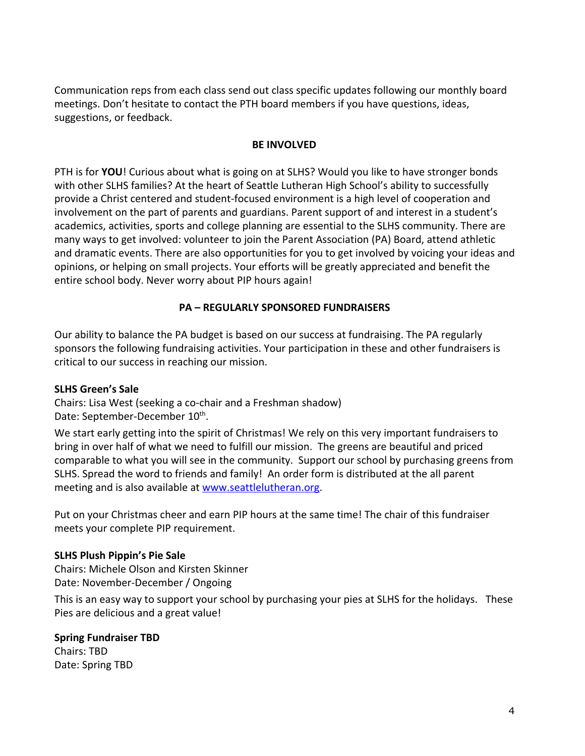Communication reps from each class send out class specific updates following our monthly board meetings. Don't hesitate to contact the PTH board members if you have questions, ideas, suggestions, or feedback.

### **BE INVOLVED**

PTH is for **YOU**! Curious about what is going on at SLHS? Would you like to have stronger bonds with other SLHS families? At the heart of Seattle Lutheran High School's ability to successfully provide a Christ centered and student-focused environment is a high level of cooperation and involvement on the part of parents and guardians. Parent support of and interest in a student's academics, activities, sports and college planning are essential to the SLHS community. There are many ways to get involved: volunteer to join the Parent Association (PA) Board, attend athletic and dramatic events. There are also opportunities for you to get involved by voicing your ideas and opinions, or helping on small projects. Your efforts will be greatly appreciated and benefit the entire school body. Never worry about PIP hours again!

# **PA – REGULARLY SPONSORED FUNDRAISERS**

Our ability to balance the PA budget is based on our success at fundraising. The PA regularly sponsors the following fundraising activities. Your participation in these and other fundraisers is critical to our success in reaching our mission.

#### **SLHS Green's Sale**

Chairs: Lisa West (seeking a co-chair and a Freshman shadow) Date: September-December 10<sup>th</sup>.

We start early getting into the spirit of Christmas! We rely on this very important fundraisers to bring in over half of what we need to fulfill our mission. The greens are beautiful and priced comparable to what you will see in the community. Support our school by purchasing greens from SLHS. Spread the word to friends and family! An order form is distributed at the all parent meeting and is also available at [www.seattlelutheran.org.](http://www.seattlelutheran.org/)

Put on your Christmas cheer and earn PIP hours at the same time! The chair of this fundraiser meets your complete PIP requirement.

# **SLHS Plush Pippin's Pie Sale**

Chairs: Michele Olson and Kirsten Skinner Date: November-December / Ongoing

This is an easy way to support your school by purchasing your pies at SLHS for the holidays. These Pies are delicious and a great value!

# **Spring Fundraiser TBD**

Chairs: TBD Date: Spring TBD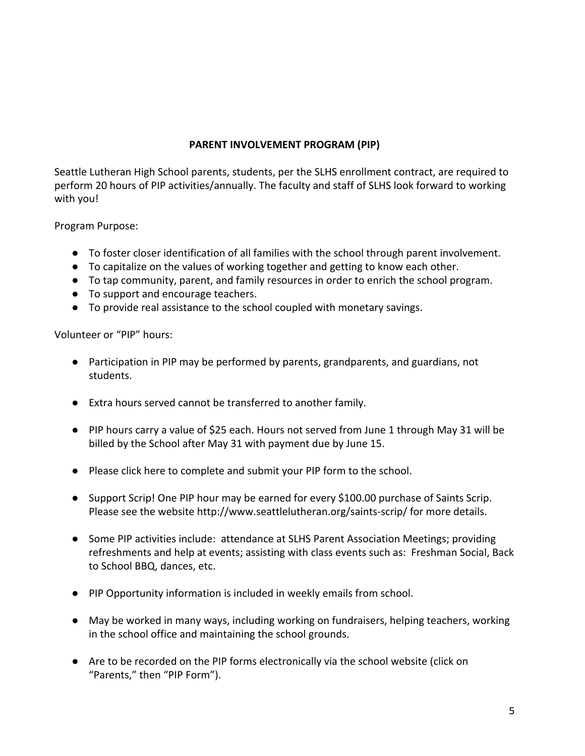# **PARENT INVOLVEMENT PROGRAM (PIP)**

Seattle Lutheran High School parents, students, per the SLHS enrollment contract, are required to perform 20 hours of PIP activities/annually. The faculty and staff of SLHS look forward to working with you!

Program Purpose:

- To foster closer identification of all families with the school through parent involvement.
- To capitalize on the values of working together and getting to know each other.
- To tap community, parent, and family resources in order to enrich the school program.
- To support and encourage teachers.
- To provide real assistance to the school coupled with monetary savings.

Volunteer or "PIP" hours:

- Participation in PIP may be performed by parents, grandparents, and guardians, not students.
- Extra hours served cannot be transferred to another family.
- PIP hours carry a value of \$25 each. Hours not served from June 1 through May 31 will be billed by the School after May 31 with payment due by June 15.
- Please click here to complete and submit your PIP form to the school.
- Support Scrip! One PIP hour may be earned for every \$100.00 purchase of Saints Scrip. Please see the website http://www.seattlelutheran.org/saints-scrip/ for more details.
- Some PIP activities include: attendance at SLHS Parent Association Meetings; providing refreshments and help at events; assisting with class events such as: Freshman Social, Back to School BBQ, dances, etc.
- PIP Opportunity information is included in weekly emails from school.
- May be worked in many ways, including working on fundraisers, helping teachers, working in the school office and maintaining the school grounds.
- Are to be recorded on the PIP forms electronically via the school website (click on "Parents," then "PIP Form").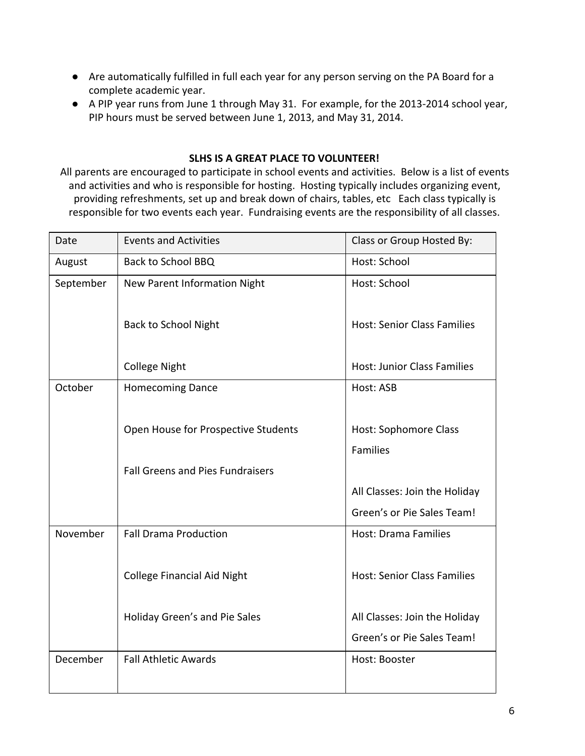- Are automatically fulfilled in full each year for any person serving on the PA Board for a complete academic year.
- A PIP year runs from June 1 through May 31. For example, for the 2013-2014 school year, PIP hours must be served between June 1, 2013, and May 31, 2014.

### **SLHS IS A GREAT PLACE TO VOLUNTEER!**

All parents are encouraged to participate in school events and activities. Below is a list of events and activities and who is responsible for hosting. Hosting typically includes organizing event, providing refreshments, set up and break down of chairs, tables, etc Each class typically is responsible for two events each year. Fundraising events are the responsibility of all classes.

| Date      | <b>Events and Activities</b>            | Class or Group Hosted By:          |
|-----------|-----------------------------------------|------------------------------------|
| August    | <b>Back to School BBQ</b>               | Host: School                       |
| September | New Parent Information Night            | Host: School                       |
|           |                                         |                                    |
|           | <b>Back to School Night</b>             | <b>Host: Senior Class Families</b> |
|           |                                         |                                    |
|           | <b>College Night</b>                    | <b>Host: Junior Class Families</b> |
| October   | <b>Homecoming Dance</b>                 | Host: ASB                          |
|           |                                         |                                    |
|           | Open House for Prospective Students     | Host: Sophomore Class              |
|           |                                         | <b>Families</b>                    |
|           | <b>Fall Greens and Pies Fundraisers</b> |                                    |
|           |                                         | All Classes: Join the Holiday      |
|           |                                         | Green's or Pie Sales Team!         |
| November  | <b>Fall Drama Production</b>            | <b>Host: Drama Families</b>        |
|           |                                         |                                    |
|           | <b>College Financial Aid Night</b>      | <b>Host: Senior Class Families</b> |
|           |                                         |                                    |
|           | Holiday Green's and Pie Sales           | All Classes: Join the Holiday      |
|           |                                         | Green's or Pie Sales Team!         |
| December  | <b>Fall Athletic Awards</b>             | Host: Booster                      |
|           |                                         |                                    |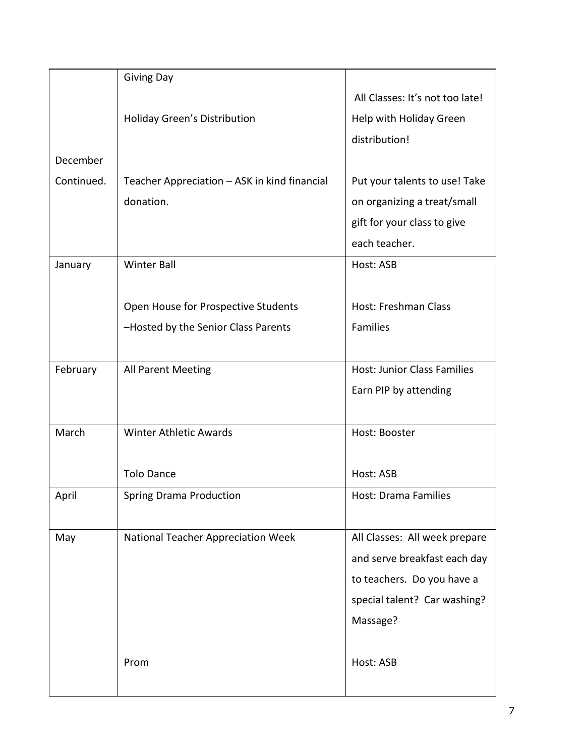|            | <b>Giving Day</b>                            |                                    |
|------------|----------------------------------------------|------------------------------------|
|            |                                              | All Classes: It's not too late!    |
|            | Holiday Green's Distribution                 | Help with Holiday Green            |
|            |                                              | distribution!                      |
| December   |                                              |                                    |
| Continued. | Teacher Appreciation - ASK in kind financial | Put your talents to use! Take      |
|            | donation.                                    | on organizing a treat/small        |
|            |                                              | gift for your class to give        |
|            |                                              | each teacher.                      |
| January    | <b>Winter Ball</b>                           | Host: ASB                          |
|            |                                              |                                    |
|            | Open House for Prospective Students          | Host: Freshman Class               |
|            | -Hosted by the Senior Class Parents          | Families                           |
|            |                                              |                                    |
| February   | All Parent Meeting                           | <b>Host: Junior Class Families</b> |
|            |                                              | Earn PIP by attending              |
|            |                                              |                                    |
| March      | <b>Winter Athletic Awards</b>                | Host: Booster                      |
|            |                                              |                                    |
|            | <b>Tolo Dance</b>                            | Host: ASB                          |
| April      | <b>Spring Drama Production</b>               | Host: Drama Families               |
|            |                                              |                                    |
| May        | National Teacher Appreciation Week           | All Classes: All week prepare      |
|            |                                              | and serve breakfast each day       |
|            |                                              | to teachers. Do you have a         |
|            |                                              | special talent? Car washing?       |
|            |                                              | Massage?                           |
|            |                                              |                                    |
|            | Prom                                         | Host: ASB                          |
|            |                                              |                                    |
|            |                                              |                                    |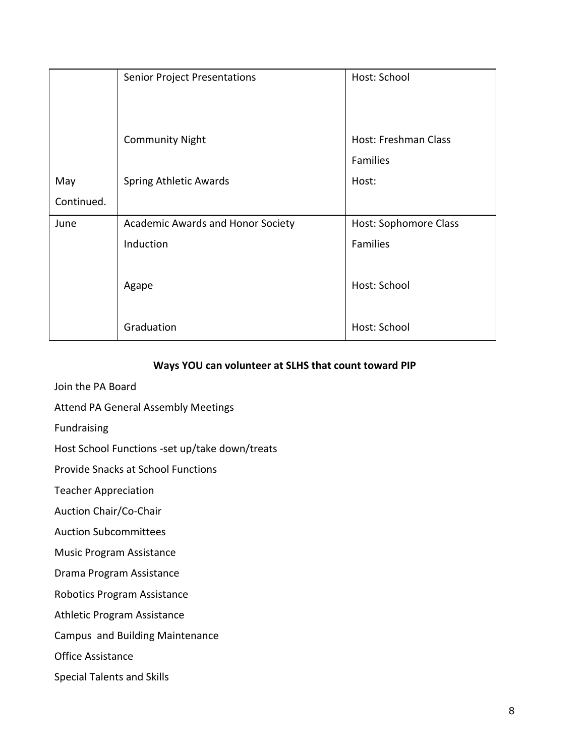|            | <b>Senior Project Presentations</b> | Host: School                |
|------------|-------------------------------------|-----------------------------|
|            | <b>Community Night</b>              | <b>Host: Freshman Class</b> |
|            |                                     | Families                    |
| May        | <b>Spring Athletic Awards</b>       | Host:                       |
| Continued. |                                     |                             |
| June       | Academic Awards and Honor Society   | Host: Sophomore Class       |
|            | Induction                           | Families                    |
|            | Agape                               | Host: School                |
|            | Graduation                          | Host: School                |

#### **Ways YOU can volunteer at SLHS that count toward PIP**

- Join the PA Board
- Attend PA General Assembly Meetings
- Fundraising
- Host School Functions -set up/take down/treats

Provide Snacks at School Functions

Teacher Appreciation

Auction Chair/Co-Chair

Auction Subcommittees

Music Program Assistance

Drama Program Assistance

Robotics Program Assistance

Athletic Program Assistance

Campus and Building Maintenance

Office Assistance

Special Talents and Skills